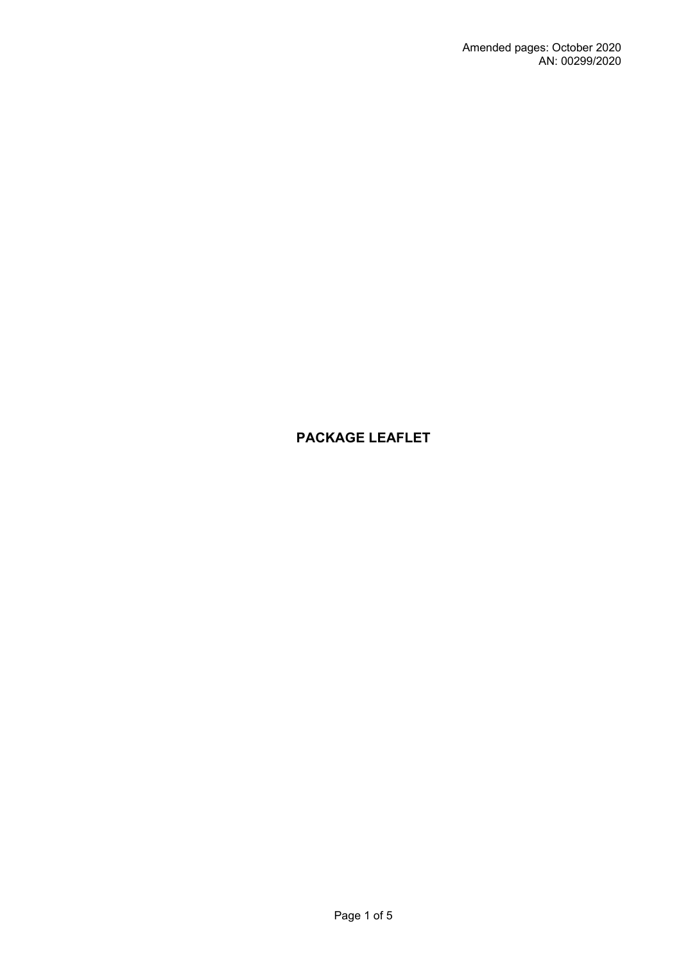# **PACKAGE LEAFLET**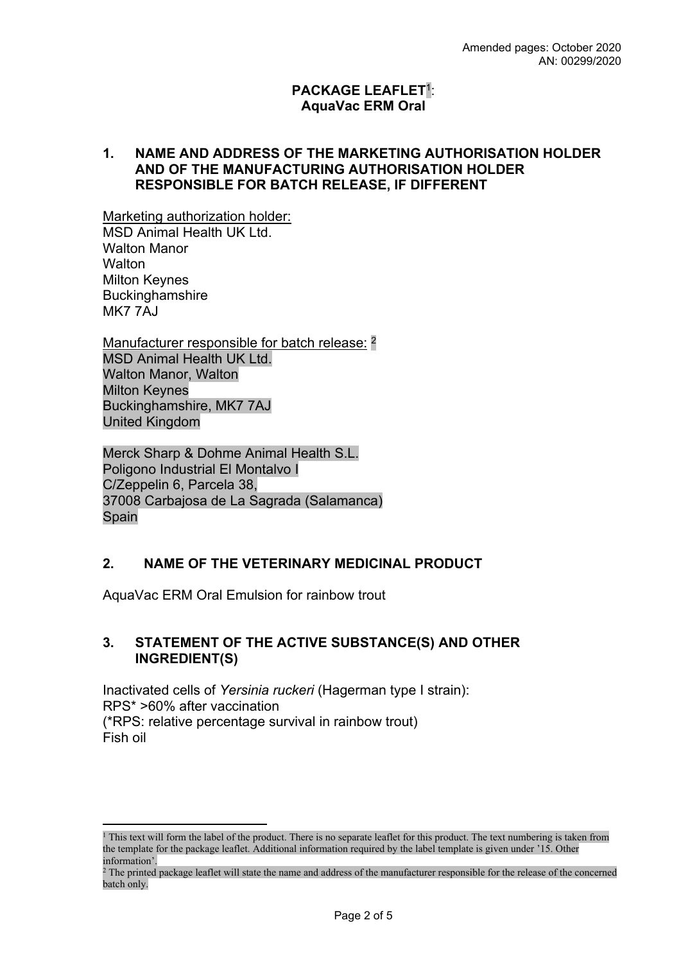#### **PACKAGE LEAFLET**<sup>1</sup> : **AquaVac ERM Oral**

#### **1. NAME AND ADDRESS OF THE MARKETING AUTHORISATION HOLDER AND OF THE MANUFACTURING AUTHORISATION HOLDER RESPONSIBLE FOR BATCH RELEASE, IF DIFFERENT**

Marketing authorization holder: MSD Animal Health UK Ltd. Walton Manor **Walton** Milton Keynes **Buckinghamshire** MK7 7AJ

Manufacturer responsible for batch release: <sup>2</sup> MSD Animal Health UK Ltd. Walton Manor, Walton Milton Keynes Buckinghamshire, MK7 7AJ United Kingdom

Merck Sharp & Dohme Animal Health S.L. Poligono Industrial El Montalvo I C/Zeppelin 6, Parcela 38, 37008 Carbajosa de La Sagrada (Salamanca) Spain

#### **2. NAME OF THE VETERINARY MEDICINAL PRODUCT**

AquaVac ERM Oral Emulsion for rainbow trout

#### **3. STATEMENT OF THE ACTIVE SUBSTANCE(S) AND OTHER INGREDIENT(S)**

Inactivated cells of *Yersinia ruckeri* (Hagerman type I strain): RPS\* >60% after vaccination (\*RPS: relative percentage survival in rainbow trout) Fish oil

<sup>&</sup>lt;sup>1</sup> This text will form the label of the product. There is no separate leaflet for this product. The text numbering is taken from the template for the package leaflet. Additional information required by the label template is given under '15. Other information'.

<sup>&</sup>lt;sup>2</sup> The printed package leaflet will state the name and address of the manufacturer responsible for the release of the concerned batch only.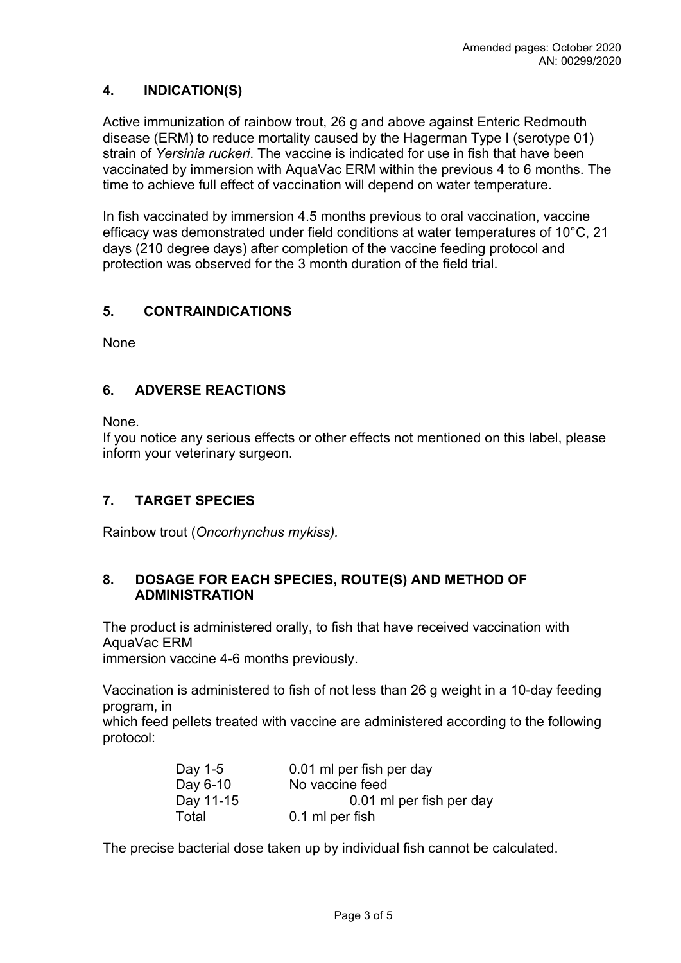### **4. INDICATION(S)**

Active immunization of rainbow trout, 26 g and above against Enteric Redmouth disease (ERM) to reduce mortality caused by the Hagerman Type I (serotype 01) strain of *Yersinia ruckeri*. The vaccine is indicated for use in fish that have been vaccinated by immersion with AquaVac ERM within the previous 4 to 6 months. The time to achieve full effect of vaccination will depend on water temperature.

In fish vaccinated by immersion 4.5 months previous to oral vaccination, vaccine efficacy was demonstrated under field conditions at water temperatures of 10°C, 21 days (210 degree days) after completion of the vaccine feeding protocol and protection was observed for the 3 month duration of the field trial.

### **5. CONTRAINDICATIONS**

None

### **6. ADVERSE REACTIONS**

None.

If you notice any serious effects or other effects not mentioned on this label, please inform your veterinary surgeon.

### **7. TARGET SPECIES**

Rainbow trout (*Oncorhynchus mykiss).*

#### **8. DOSAGE FOR EACH SPECIES, ROUTE(S) AND METHOD OF ADMINISTRATION**

The product is administered orally, to fish that have received vaccination with AquaVac ERM

immersion vaccine 4-6 months previously.

Vaccination is administered to fish of not less than 26 g weight in a 10-day feeding program, in

which feed pellets treated with vaccine are administered according to the following protocol:

| Day 1-5   | 0.01 ml per fish per day |
|-----------|--------------------------|
| Day 6-10  | No vaccine feed          |
| Day 11-15 | 0.01 ml per fish per day |
| Total     | 0.1 ml per fish          |

The precise bacterial dose taken up by individual fish cannot be calculated.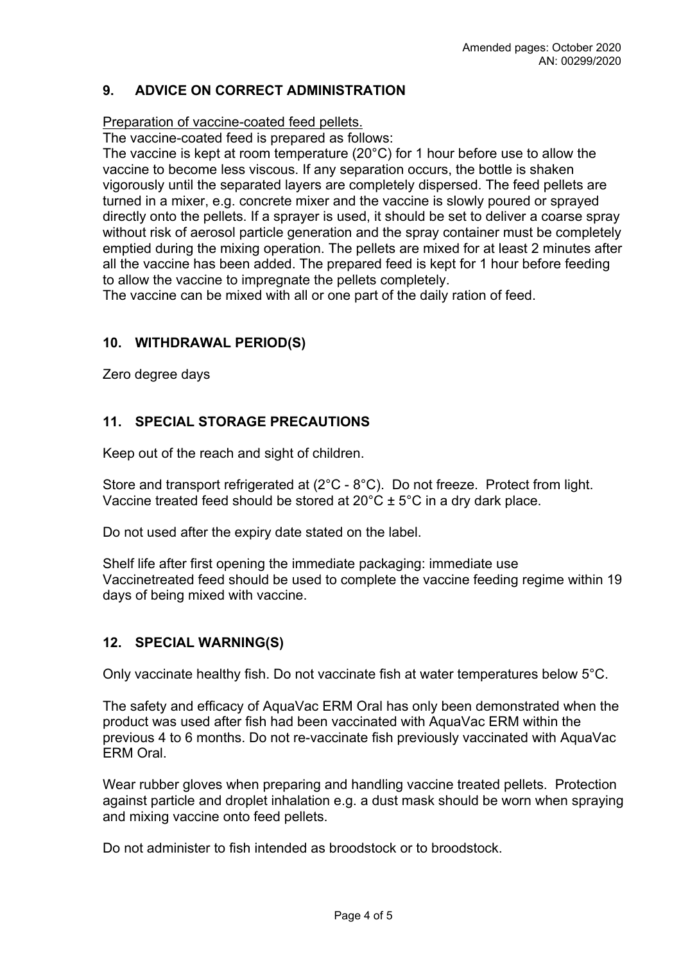### **9. ADVICE ON CORRECT ADMINISTRATION**

Preparation of vaccine-coated feed pellets.

The vaccine-coated feed is prepared as follows:

The vaccine is kept at room temperature (20°C) for 1 hour before use to allow the vaccine to become less viscous. If any separation occurs, the bottle is shaken vigorously until the separated layers are completely dispersed. The feed pellets are turned in a mixer, e.g. concrete mixer and the vaccine is slowly poured or sprayed directly onto the pellets. If a sprayer is used, it should be set to deliver a coarse spray without risk of aerosol particle generation and the spray container must be completely emptied during the mixing operation. The pellets are mixed for at least 2 minutes after all the vaccine has been added. The prepared feed is kept for 1 hour before feeding to allow the vaccine to impregnate the pellets completely.

The vaccine can be mixed with all or one part of the daily ration of feed.

### **10. WITHDRAWAL PERIOD(S)**

Zero degree days

## **11. SPECIAL STORAGE PRECAUTIONS**

Keep out of the reach and sight of children.

Store and transport refrigerated at (2°C - 8°C). Do not freeze. Protect from light. Vaccine treated feed should be stored at  $20^{\circ}$ C  $\pm$  5°C in a dry dark place.

Do not used after the expiry date stated on the label.

Shelf life after first opening the immediate packaging: immediate use Vaccinetreated feed should be used to complete the vaccine feeding regime within 19 days of being mixed with vaccine.

### **12. SPECIAL WARNING(S)**

Only vaccinate healthy fish. Do not vaccinate fish at water temperatures below 5°C.

The safety and efficacy of AquaVac ERM Oral has only been demonstrated when the product was used after fish had been vaccinated with AquaVac ERM within the previous 4 to 6 months. Do not re-vaccinate fish previously vaccinated with AquaVac ERM Oral.

Wear rubber gloves when preparing and handling vaccine treated pellets. Protection against particle and droplet inhalation e.g. a dust mask should be worn when spraying and mixing vaccine onto feed pellets.

Do not administer to fish intended as broodstock or to broodstock.